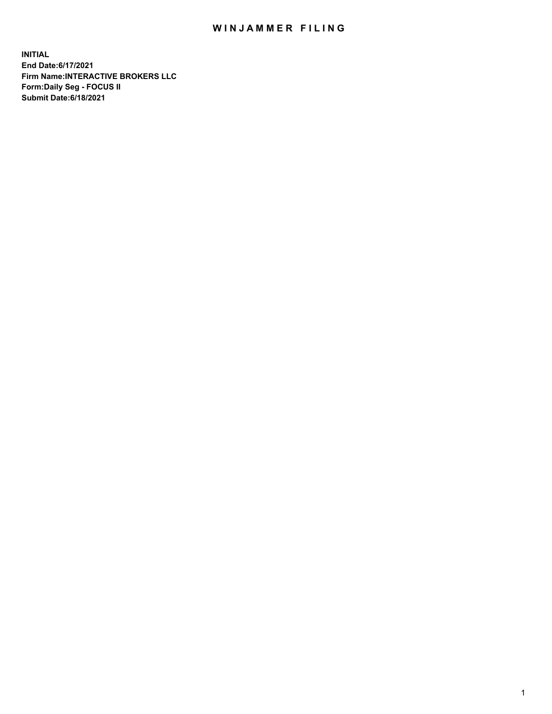## WIN JAMMER FILING

**INITIAL End Date:6/17/2021 Firm Name:INTERACTIVE BROKERS LLC Form:Daily Seg - FOCUS II Submit Date:6/18/2021**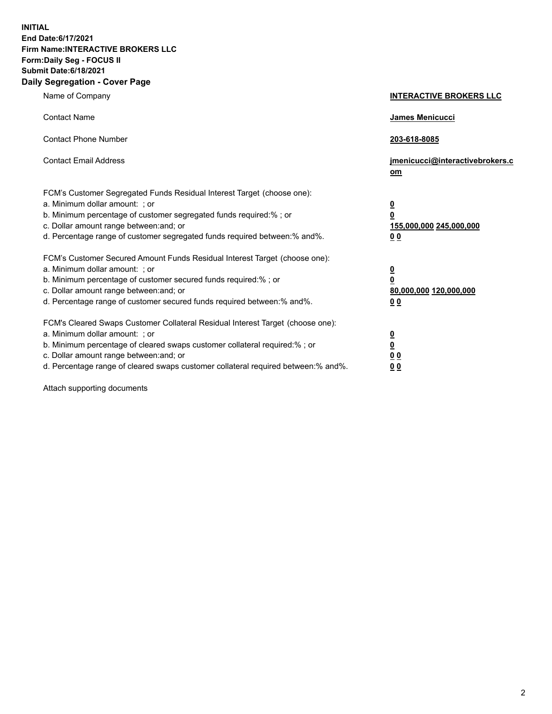**INITIAL End Date:6/17/2021 Firm Name:INTERACTIVE BROKERS LLC Form:Daily Seg - FOCUS II Submit Date:6/18/2021 Daily Segregation - Cover Page**

| Name of Company                                                                                                                                                                                                                                                                                                                | <b>INTERACTIVE BROKERS LLC</b>                                                   |
|--------------------------------------------------------------------------------------------------------------------------------------------------------------------------------------------------------------------------------------------------------------------------------------------------------------------------------|----------------------------------------------------------------------------------|
| <b>Contact Name</b>                                                                                                                                                                                                                                                                                                            | James Menicucci                                                                  |
| <b>Contact Phone Number</b>                                                                                                                                                                                                                                                                                                    | 203-618-8085                                                                     |
| <b>Contact Email Address</b>                                                                                                                                                                                                                                                                                                   | jmenicucci@interactivebrokers.c<br>om                                            |
| FCM's Customer Segregated Funds Residual Interest Target (choose one):<br>a. Minimum dollar amount: ; or<br>b. Minimum percentage of customer segregated funds required:% ; or<br>c. Dollar amount range between: and; or<br>d. Percentage range of customer segregated funds required between:% and%.                         | <u>0</u><br>$\overline{\mathbf{0}}$<br>155,000,000 245,000,000<br>0 <sub>0</sub> |
| FCM's Customer Secured Amount Funds Residual Interest Target (choose one):<br>a. Minimum dollar amount: ; or<br>b. Minimum percentage of customer secured funds required:% ; or<br>c. Dollar amount range between: and; or<br>d. Percentage range of customer secured funds required between:% and%.                           | <u>0</u><br>$\overline{\mathbf{0}}$<br>80,000,000 120,000,000<br>0 <sub>0</sub>  |
| FCM's Cleared Swaps Customer Collateral Residual Interest Target (choose one):<br>a. Minimum dollar amount: ; or<br>b. Minimum percentage of cleared swaps customer collateral required:% ; or<br>c. Dollar amount range between: and; or<br>d. Percentage range of cleared swaps customer collateral required between:% and%. | <u>0</u><br>$\underline{\mathbf{0}}$<br>0 <sub>0</sub><br>0 <sub>0</sub>         |

Attach supporting documents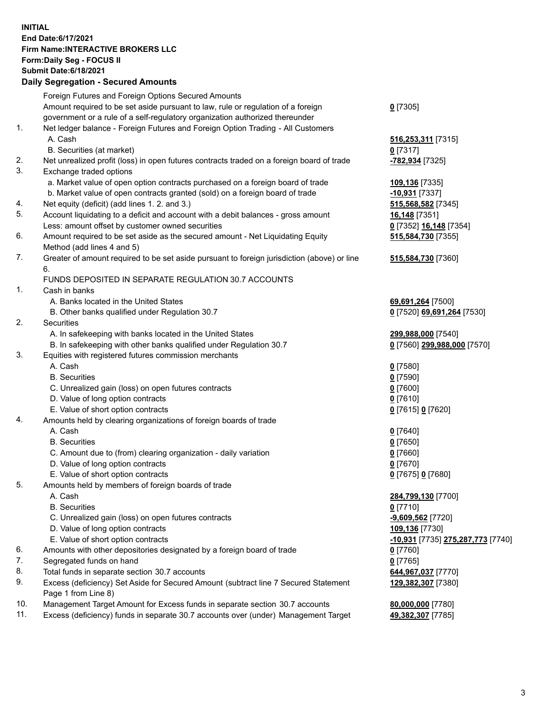## **INITIAL End Date:6/17/2021 Firm Name:INTERACTIVE BROKERS LLC Form:Daily Seg - FOCUS II Submit Date:6/18/2021**

|     | <b>Daily Segregation - Secured Amounts</b>                                                  |                                   |
|-----|---------------------------------------------------------------------------------------------|-----------------------------------|
|     | Foreign Futures and Foreign Options Secured Amounts                                         |                                   |
|     | Amount required to be set aside pursuant to law, rule or regulation of a foreign            | $0$ [7305]                        |
|     | government or a rule of a self-regulatory organization authorized thereunder                |                                   |
| 1.  | Net ledger balance - Foreign Futures and Foreign Option Trading - All Customers             |                                   |
|     | A. Cash                                                                                     | 516,253,311 [7315]                |
|     | B. Securities (at market)                                                                   | $0$ [7317]                        |
| 2.  | Net unrealized profit (loss) in open futures contracts traded on a foreign board of trade   | -782,934 [7325]                   |
| 3.  | Exchange traded options                                                                     |                                   |
|     | a. Market value of open option contracts purchased on a foreign board of trade              | 109,136 [7335]                    |
|     | b. Market value of open contracts granted (sold) on a foreign board of trade                | $-10,931$ [7337]                  |
| 4.  | Net equity (deficit) (add lines 1.2. and 3.)                                                | 515,568,582 [7345]                |
| 5.  | Account liquidating to a deficit and account with a debit balances - gross amount           | <b>16,148</b> [7351]              |
|     | Less: amount offset by customer owned securities                                            | 0 [7352] 16,148 [7354]            |
| 6.  | Amount required to be set aside as the secured amount - Net Liquidating Equity              | 515,584,730 [7355]                |
|     | Method (add lines 4 and 5)                                                                  |                                   |
| 7.  | Greater of amount required to be set aside pursuant to foreign jurisdiction (above) or line | 515,584,730 [7360]                |
|     | 6.                                                                                          |                                   |
|     | FUNDS DEPOSITED IN SEPARATE REGULATION 30.7 ACCOUNTS                                        |                                   |
| 1.  | Cash in banks                                                                               |                                   |
|     | A. Banks located in the United States                                                       | 69,691,264 [7500]                 |
|     | B. Other banks qualified under Regulation 30.7                                              | 0 [7520] 69,691,264 [7530]        |
| 2.  | Securities                                                                                  |                                   |
|     | A. In safekeeping with banks located in the United States                                   | 299,988,000 [7540]                |
|     | B. In safekeeping with other banks qualified under Regulation 30.7                          | 0 [7560] 299,988,000 [7570]       |
| 3.  | Equities with registered futures commission merchants                                       |                                   |
|     | A. Cash                                                                                     | $0$ [7580]                        |
|     | <b>B.</b> Securities                                                                        | $0$ [7590]                        |
|     | C. Unrealized gain (loss) on open futures contracts                                         | $0$ [7600]                        |
|     | D. Value of long option contracts                                                           | $0$ [7610]                        |
|     | E. Value of short option contracts                                                          | 0 [7615] 0 [7620]                 |
| 4.  | Amounts held by clearing organizations of foreign boards of trade                           |                                   |
|     | A. Cash                                                                                     | $0$ [7640]                        |
|     | <b>B.</b> Securities                                                                        | $0$ [7650]                        |
|     | C. Amount due to (from) clearing organization - daily variation                             | $0$ [7660]                        |
|     | D. Value of long option contracts                                                           | $0$ [7670]                        |
|     | E. Value of short option contracts                                                          | 0 [7675] 0 [7680]                 |
| 5.  | Amounts held by members of foreign boards of trade                                          |                                   |
|     | A. Cash                                                                                     | 284,799,130 [7700]                |
|     | <b>B.</b> Securities                                                                        | $0$ [7710]                        |
|     | C. Unrealized gain (loss) on open futures contracts                                         | $-9,609,562$ [7720]               |
|     | D. Value of long option contracts                                                           | 109,136 [7730]                    |
|     | E. Value of short option contracts                                                          | -10,931 [7735] 275,287,773 [7740] |
| 6.  | Amounts with other depositories designated by a foreign board of trade                      | $0$ [7760]                        |
| 7.  | Segregated funds on hand                                                                    | $0$ [7765]                        |
| 8.  | Total funds in separate section 30.7 accounts                                               | 644,967,037 [7770]                |
| 9.  | Excess (deficiency) Set Aside for Secured Amount (subtract line 7 Secured Statement         | 129,382,307 [7380]                |
|     | Page 1 from Line 8)                                                                         |                                   |
| 10. | Management Target Amount for Excess funds in separate section 30.7 accounts                 | 80,000,000 [7780]                 |
| 11. | Excess (deficiency) funds in separate 30.7 accounts over (under) Management Target          | 49,382,307 [7785]                 |
|     |                                                                                             |                                   |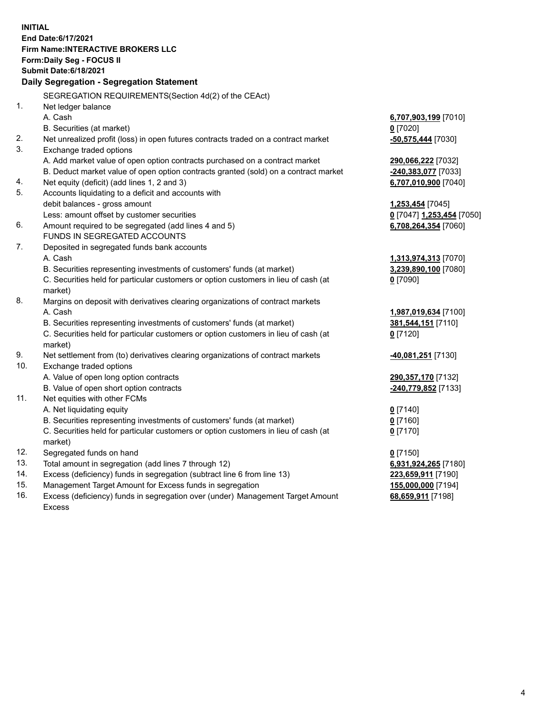**INITIAL End Date:6/17/2021 Firm Name:INTERACTIVE BROKERS LLC Form:Daily Seg - FOCUS II Submit Date:6/18/2021 Daily Segregation - Segregation Statement** SEGREGATION REQUIREMENTS(Section 4d(2) of the CEAct) 1. Net ledger balance A. Cash **6,707,903,199** [7010] B. Securities (at market) **0** [7020] 2. Net unrealized profit (loss) in open futures contracts traded on a contract market **-50,575,444** [7030] 3. Exchange traded options A. Add market value of open option contracts purchased on a contract market **290,066,222** [7032] B. Deduct market value of open option contracts granted (sold) on a contract market **-240,383,077** [7033] 4. Net equity (deficit) (add lines 1, 2 and 3) **6,707,010,900** [7040] 5. Accounts liquidating to a deficit and accounts with debit balances - gross amount **1,253,454** [7045] Less: amount offset by customer securities **0** [7047] **1,253,454** [7050] 6. Amount required to be segregated (add lines 4 and 5) **6,708,264,354** [7060] FUNDS IN SEGREGATED ACCOUNTS 7. Deposited in segregated funds bank accounts A. Cash **1,313,974,313** [7070] B. Securities representing investments of customers' funds (at market) **3,239,890,100** [7080] C. Securities held for particular customers or option customers in lieu of cash (at market) **0** [7090] 8. Margins on deposit with derivatives clearing organizations of contract markets A. Cash **1,987,019,634** [7100] B. Securities representing investments of customers' funds (at market) **381,544,151** [7110] C. Securities held for particular customers or option customers in lieu of cash (at market) **0** [7120] 9. Net settlement from (to) derivatives clearing organizations of contract markets **-40,081,251** [7130] 10. Exchange traded options A. Value of open long option contracts **290,357,170** [7132] B. Value of open short option contracts **-240,779,852** [7133] 11. Net equities with other FCMs A. Net liquidating equity **0** [7140] B. Securities representing investments of customers' funds (at market) **0** [7160] C. Securities held for particular customers or option customers in lieu of cash (at market) **0** [7170] 12. Segregated funds on hand **0** [7150] 13. Total amount in segregation (add lines 7 through 12) **6,931,924,265** [7180] 14. Excess (deficiency) funds in segregation (subtract line 6 from line 13) **223,659,911** [7190] 15. Management Target Amount for Excess funds in segregation **155,000,000** [7194] 16. Excess (deficiency) funds in segregation over (under) Management Target Amount **68,659,911** [7198]

Excess